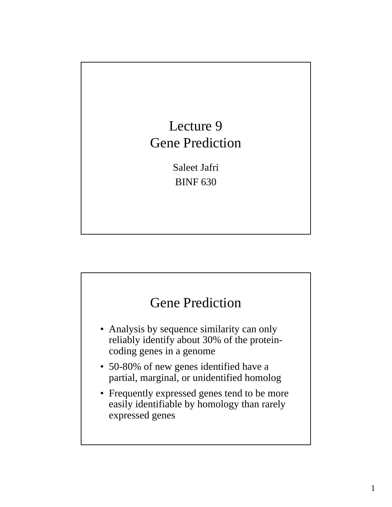

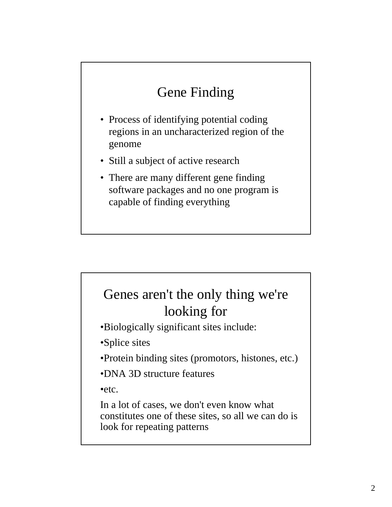# Gene Finding

- Process of identifying potential coding regions in an uncharacterized region of the genome
- Still a subject of active research
- There are many different gene finding software packages and no one program is capable of finding everything

# Genes aren't the only thing we're looking for

•Biologically significant sites include:

•Splice sites

•Protein binding sites (promotors, histones, etc.)

•DNA 3D structure features

•etc.

In a lot of cases, we don't even know what constitutes one of these sites, so all we can do is look for repeating patterns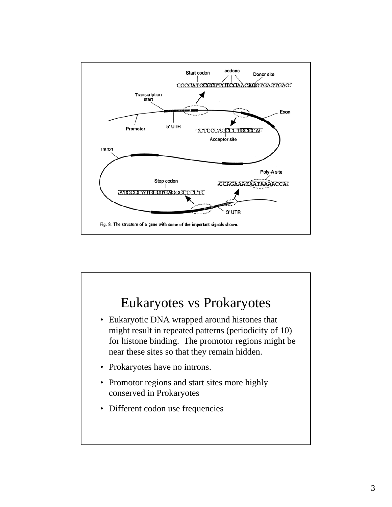

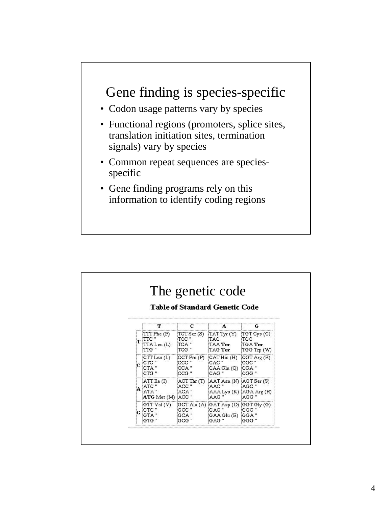

- Codon usage patterns vary by species
- Functional regions (promoters, splice sites, translation initiation sites, termination signals) vary by species
- Common repeat sequences are speciesspecific
- Gene finding programs rely on this information to identify coding regions

|     |                                                                                                                                                                                                                                                                                                                                                       |                         | The genetic code<br><b>Table of Standard Genetic Code</b>                                               |                  |
|-----|-------------------------------------------------------------------------------------------------------------------------------------------------------------------------------------------------------------------------------------------------------------------------------------------------------------------------------------------------------|-------------------------|---------------------------------------------------------------------------------------------------------|------------------|
|     |                                                                                                                                                                                                                                                                                                                                                       |                         |                                                                                                         |                  |
|     | $TTT$ Phe $(F)$<br>'A Leu (L)                                                                                                                                                                                                                                                                                                                         | TCC "<br>TCA "<br>TCG " | $TCT$ Ser $(S)$ $TAT$ Tyr $(Y)$ $TGT$ Cys $(C)$<br><b>TAC</b><br>TAA Ter TGA Ter<br>TAG Ter TGG Trp (W) | TGC              |
|     | $\begin{array}{ c c c c c }\hline \text{CTI} \text{Leu (L)} & \text{CCTPro (P)} & \text{CAT His (H)} & \text{CGT Arg (R)}\hline \end{array}$                                                                                                                                                                                                          | iccc "<br>:CCG "        | CAC "<br>CCA"  CAAGln(Q)  CGA"<br>CAG "                                                                 | icgc "<br>icgg " |
| ١A. | ATT Ile (I).<br>ATA "<br>ATG Met (M) ACG "                                                                                                                                                                                                                                                                                                            | ACC "<br>ACA "          | ACT Thr (T) AAT Asn (N) AGT Ser (S)<br>AAC"<br> AAA Lys (K)  AGA Arg (R)<br>AAG "                       | AGC''<br>AGG "   |
|     | $\begin{array}{l l l} \multicolumn{1}{l }{{\text{GTT U al (V)}}} & \multicolumn{1}{l}{\text{GCT Ala (A)}} & \multicolumn{1}{l}{\text{GAT Asp (D)}} & \multicolumn{1}{l}{\text{GGT Gly (G)}} \\ \multicolumn{1}{l}{\text{GTC "}} & \multicolumn{1}{l}{\text{GCC "}} & \multicolumn{1}{l}{\text{GAC "}} & \multicolumn{1}{l}{\text{GGC "}} \end{array}$ |                         | GAAGlu(E) GGA"<br>GAG                                                                                   | GGG              |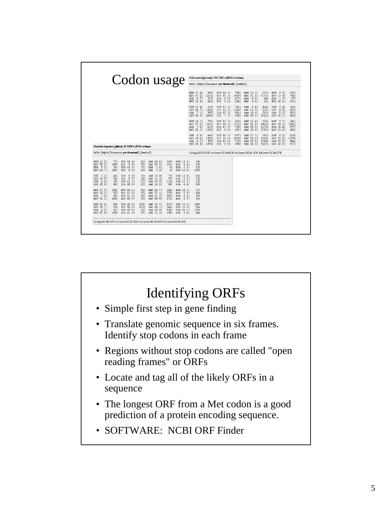| Codon usage                                                     |                            |                                                                            |                            |  |                                                     | Felis catus [ghmam]: 145 CDS's (55511 codons)<br>fields: [triplet] [frequency: per thousand] ([number]) |                   |                                                  |                                                           |                                |                                                        |                               |                                                                                  |                                 |     |                                                      |                               |
|-----------------------------------------------------------------|----------------------------|----------------------------------------------------------------------------|----------------------------|--|-----------------------------------------------------|---------------------------------------------------------------------------------------------------------|-------------------|--------------------------------------------------|-----------------------------------------------------------|--------------------------------|--------------------------------------------------------|-------------------------------|----------------------------------------------------------------------------------|---------------------------------|-----|------------------------------------------------------|-------------------------------|
|                                                                 |                            |                                                                            |                            |  |                                                     |                                                                                                         |                   |                                                  |                                                           |                                |                                                        |                               |                                                                                  |                                 |     |                                                      |                               |
|                                                                 |                            |                                                                            |                            |  |                                                     |                                                                                                         |                   |                                                  | UUU 17.40<br>UUC 27.20<br>UUA 5.7(<br>UUG 12.4 (          | 968)<br>1510)<br>317)<br>689)  | UCU $14.1($<br>UCC 19.30<br>UCA<br>8.5(<br>5.2(<br>UCG | 780)<br>1069)<br>473)<br>286) | UAU 12.3(<br>UAC 21.5(<br>0.80<br>UAA<br>0.50<br>UAG                             | 683)<br>1191)<br>44)<br>26)     |     | $UGU$ 9.9 $($<br>UGC 13.4(<br>UGA 1.70<br>UGG $16.5$ | 552)<br>742)<br>97)<br>916)   |
|                                                                 |                            |                                                                            |                            |  |                                                     |                                                                                                         |                   |                                                  | $CUV$ 11.4 $($<br>$CUC$ 22.7 $($<br>CUA 7.10<br>CUG 45.90 | 631)<br>1262)<br>395)<br>2546) | $ccU$ 13.3 $($<br>ccc 20.7(<br>CCA 12.3(<br>$CCG$ 7.7( | 741)<br>1149)<br>681)<br>430) | 8.4(<br>CAU<br>CAC 15.0(<br>CAA 10.6(<br>CAG 29.0(                               | 464)<br>832)<br>591)<br>1612)   | CGC | $CGU$ 3.4 (<br>9.9(<br>$CGA$ 5.2(<br>CGG 10.1(       | 186)<br>552)<br>291)<br>562)  |
|                                                                 |                            |                                                                            |                            |  |                                                     |                                                                                                         |                   |                                                  | AUU 14.3(<br>AUC 27.5(<br>7.8(<br>AUA<br>AUG 22.3(        | 796)<br>1527)<br>433)<br>1236) | ACU 11.7(<br>ACC 24.7(<br>ACA 13.3(<br>ACG 8.80        | 652)<br>1371)<br>736)<br>491) | AAU 15.4(<br>AAC 26.0(<br>AAA 20.5(<br>AAG 30.8(                                 | 856)<br>1443)<br>1138)<br>1712) |     | AGU 9.70<br>AGC 18.5(<br>AGA 10.4(<br>AGG 11.6(      | 541)<br>1025)<br>577)<br>646) |
| Fasciola hepatica [çhinv]: 26 CDS's (5918 codons)               |                            |                                                                            |                            |  |                                                     |                                                                                                         |                   |                                                  | 9.8(<br>GUU<br>GUC 19.8(<br>6.3(<br>GUA<br>GUG 33.8(      | 543)<br>1097)<br>350)<br>1876) | GCU 16.70<br>00030.00<br>GCA 12.80<br>GCG<br>8.8(      | 927)<br>1668)<br>712)<br>490) | GAU 17.7(<br>GAC 28.2(<br>GAA 23.5(<br>GAG 35.30                                 | 981)<br>1568)<br>1304)<br>1957) |     | $GGU$ 9.2(<br>GGC 23.0(<br>GGA 15.9(<br>GGG 16.50    | 510)<br>1279)<br>884)<br>917) |
| fields: [triplet] [frequency: per thousand] ([number])          |                            |                                                                            |                            |  |                                                     |                                                                                                         |                   |                                                  |                                                           |                                |                                                        |                               | Coding GC 53.20% 1 st letter GC 54.02% 2nd letter GC 41.31% 3rd letter GC 64.27% |                                 |     |                                                      |                               |
| UUU 13.0(<br>UUC 25.2(<br>UUG 24.70                             | 77)<br>149)<br>35)<br>146) | UCU $14.4($<br>UCC<br>9.8(<br>UCA 12.00<br><b>UCG</b><br>6.80              | 85)<br>58)<br>71)<br>40)   |  | UAU 28.4 (<br>UAC 25.5(<br>UAA 1.4(<br>$UBG = 1.00$ | 168)<br>151)<br>8)<br>6)                                                                                | <b>UGC</b><br>UGA | UGU $11.5$<br>6.40<br>2.0(<br>$UGG$ 16.9 $($     | 68)<br>38)<br>12)<br>100)                                 |                                |                                                        |                               |                                                                                  |                                 |     |                                                      |                               |
| 7.3(<br><b>CUU</b><br>CUC 12.5(<br>$CUA$ 6.6(<br>$CUG$ 15.9 $($ | 43)<br>74)<br>39)<br>94)   | 5.9(<br>ccu<br>5.7 <sup>2</sup><br>CCC<br>$CCA$ 11.3 $($<br>$CCG$ 10.6 $($ | 35)<br>34)<br>67)<br>63)   |  | CAU 13.0(<br>CAC 11.3(<br>CAA 19.9(<br>CAG 16.20    | 77)<br>67)<br>118)<br>96)                                                                               | CGC.<br>CGG       | $COU$ 13.9 $($<br>5.6(<br>CGA 12.3(<br>4.4(      | $\frac{82}{33}$<br>73)<br>26)                             |                                |                                                        |                               |                                                                                  |                                 |     |                                                      |                               |
| AUU 17.2(<br>AUC 16.1(<br>7.60<br>AUA<br>AUG 31.1(              | 102)<br>95)<br>45)<br>184) | ACU 16.1(<br>ACC 11.50<br>ACA 11.00<br>ACG 10.60                           | 95)<br>68)<br>65)<br>63)   |  | AAU 24.7(<br>AAC 21.1(<br>AAA 41.9(<br>AAG 28.9(    | 146)<br>125)<br>248)<br>171)                                                                            | AGC<br>AGA<br>AGG | AGU 11.3(<br>6.8(<br>6.6(<br>5.7(                | 67)<br>40)<br>39)<br>34)                                  |                                |                                                        |                               |                                                                                  |                                 |     |                                                      |                               |
| GUU 15.2(<br>GUC 16.7(<br>GUA 6.90<br>GUG 27.0(                 | 90)<br>99)<br>41)<br>160)  | GCU 25.5(<br>00018.6<br>GCA 15.50<br>GCG 11.00                             | 151)<br>110)<br>92)<br>65) |  | GAU 36.7(<br>GAC 24.7(<br>GAA 38.9(<br>GAG 31.30    | 217)<br>146)<br>230)<br>185)                                                                            | GGG               | $66U$ 33.6 $($<br>GGC 15.90<br>GGA 29.60<br>7.4( | 199)<br>94)<br>175)<br>44)                                |                                |                                                        |                               |                                                                                  |                                 |     |                                                      |                               |

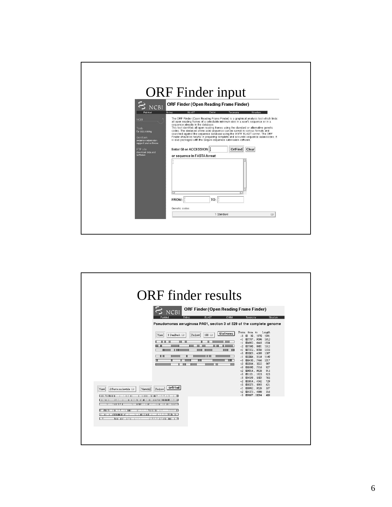| PubMed<br><b>NCBI</b><br>Tools<br>for data mining<br>GenBank<br>sequence submission<br>support and software<br>FTP site<br>download data and<br>software | <b>ORF</b> Finder input<br><b>ORF Finder (Open Reading Frame Finder)</b><br><b>NCBI</b><br>Entrez<br><b>BLAST</b><br>OMIM<br>Taxonomy<br>Structure<br>The ORF Finder (Open Reading Frame Finder) is a graphical analysis tool which finds<br>all open reading frames of a selectable minimum size in a user's sequence or in a<br>sequence already in the database.<br>This tool identifies all open reading frames using the standard or alternative genetic<br>codes. The deduced amino acid sequence can be saved in various formats and<br>searched against the sequence database using the WWW BLAST server. The ORF<br>Finder should be helpful in preparing complete and accurate sequence submissions. It<br>is also packaged with the Sequin sequence submission software.<br>Enter GI or ACCESSION  ]<br>OrfFind<br>Clear<br>or sequence in FASTA format |
|----------------------------------------------------------------------------------------------------------------------------------------------------------|--------------------------------------------------------------------------------------------------------------------------------------------------------------------------------------------------------------------------------------------------------------------------------------------------------------------------------------------------------------------------------------------------------------------------------------------------------------------------------------------------------------------------------------------------------------------------------------------------------------------------------------------------------------------------------------------------------------------------------------------------------------------------------------------------------------------------------------------------------------------|
|                                                                                                                                                          | TO:<br>FROM:<br>Genetic codes<br>1 Standard<br>$\Box$                                                                                                                                                                                                                                                                                                                                                                                                                                                                                                                                                                                                                                                                                                                                                                                                              |

| ORF Finder (Open Reading Frame Finder)<br>NCBI<br>Entrez<br><b>BLAST</b><br><b>OMIM</b><br>Structure<br>Taxonomy<br>Pseudomonas aeruginosa PA01, section 3 of 529 of the complete genome<br>Frame from to<br>Length<br><b>SixFrames</b><br>1 GenBank $\Box$<br>$100$ $\Box$<br>View<br>Redraw<br>$-3$<br>30. 1970<br>1941<br>■7787 9598<br>1812<br>$-1$<br>■4892.6445<br>1554<br>$-1$<br>■7390  8901<br>1512<br>$-2$<br>■7372.8706<br>1335<br>$+1$<br>т<br>■3003.4289<br>1287<br>$+3$<br>■2006  3154<br>$-1$<br>1149<br>■6450  7466<br>1017<br>$-3$<br>■2036.3022<br>987<br>$+2$<br>■6390 . 7316<br>927<br>$+3$<br>■9014  9928<br>915<br>$+2$<br>■1101  1925<br>825<br>$+3$<br>■4539  5303<br>765<br>$-3$<br>■3814  4542<br>729<br>$-2$<br><b>■5373 5993</b><br>621<br>$+3$<br>0rfFind<br>■8992.9528<br>537<br>$+1$<br>2 Fasta nucleotide<br>View<br>ViewAll<br>Redraw<br>■4373.4888<br>516<br>$+2$<br>$-3$ 29687.10094<br>408<br><b>THE MONEY</b><br>11.6.11<br><b>BUTHER IS STATED</b><br>111.81<br>$\top$ $\top$<br>1.1.1.1<br>$-1.1$<br>111<br>1111111111<br><b>THE REPORT OF A PARTIES</b><br>11177<br>11 180 51<br>111111111111<br>лы<br><b>TELEVILLIN</b><br>₩<br>┌──<br>-410 001 1-11 1-1-1<br><b>THE LIFE REAL PROPERTY</b><br>1 <sup>1</sup> | <b>ORF</b> finder results |  |
|--------------------------------------------------------------------------------------------------------------------------------------------------------------------------------------------------------------------------------------------------------------------------------------------------------------------------------------------------------------------------------------------------------------------------------------------------------------------------------------------------------------------------------------------------------------------------------------------------------------------------------------------------------------------------------------------------------------------------------------------------------------------------------------------------------------------------------------------------------------------------------------------------------------------------------------------------------------------------------------------------------------------------------------------------------------------------------------------------------------------------------------------------------------------------------------------------------------------------------------------------------|---------------------------|--|
|                                                                                                                                                                                                                                                                                                                                                                                                                                                                                                                                                                                                                                                                                                                                                                                                                                                                                                                                                                                                                                                                                                                                                                                                                                                        |                           |  |
|                                                                                                                                                                                                                                                                                                                                                                                                                                                                                                                                                                                                                                                                                                                                                                                                                                                                                                                                                                                                                                                                                                                                                                                                                                                        |                           |  |
|                                                                                                                                                                                                                                                                                                                                                                                                                                                                                                                                                                                                                                                                                                                                                                                                                                                                                                                                                                                                                                                                                                                                                                                                                                                        |                           |  |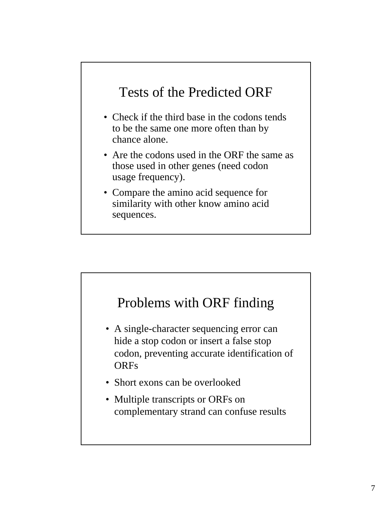#### Tests of the Predicted ORF

- Check if the third base in the codons tends to be the same one more often than by chance alone.
- Are the codons used in the ORF the same as those used in other genes (need codon usage frequency).
- Compare the amino acid sequence for similarity with other know amino acid sequences.

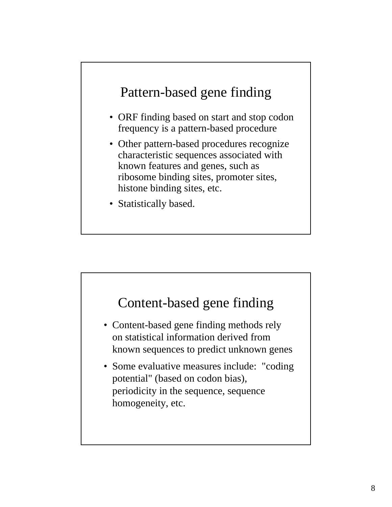#### Pattern-based gene finding

- ORF finding based on start and stop codon frequency is a pattern-based procedure
- Other pattern-based procedures recognize characteristic sequences associated with known features and genes, such as ribosome binding sites, promoter sites, histone binding sites, etc.
- Statistically based.

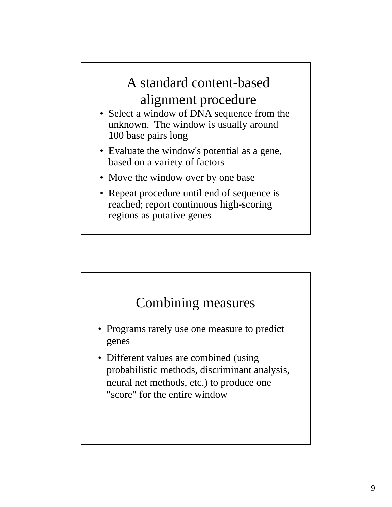# A standard content-based alignment procedure

- Select a window of DNA sequence from the unknown. The window is usually around 100 base pairs long
- Evaluate the window's potential as a gene, based on a variety of factors
- Move the window over by one base
- Repeat procedure until end of sequence is reached; report continuous high-scoring regions as putative genes

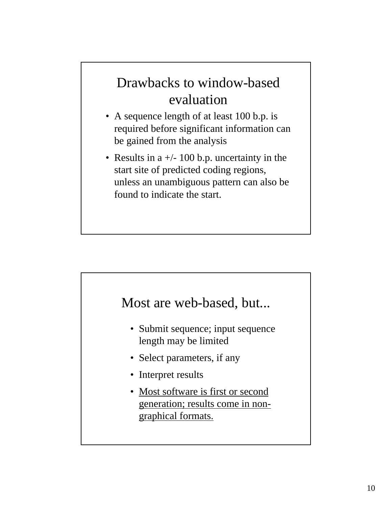## Drawbacks to window-based evaluation

- A sequence length of at least 100 b.p. is required before significant information can be gained from the analysis
- Results in a  $+/- 100$  b.p. uncertainty in the start site of predicted coding regions, unless an unambiguous pattern can also be found to indicate the start.

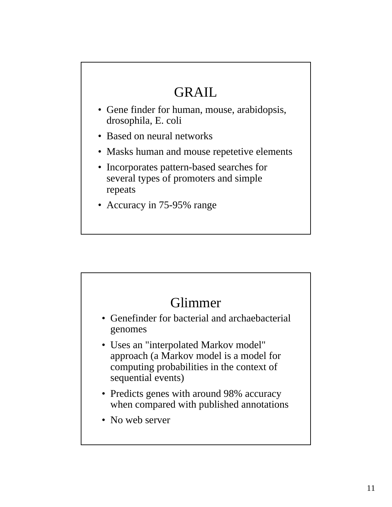## GRAIL

- Gene finder for human, mouse, arabidopsis, drosophila, E. coli
- Based on neural networks
- Masks human and mouse repetetive elements
- Incorporates pattern-based searches for several types of promoters and simple repeats
- Accuracy in 75-95% range

#### Glimmer

- Genefinder for bacterial and archaebacterial genomes
- Uses an "interpolated Markov model" approach (a Markov model is a model for computing probabilities in the context of sequential events)
- Predicts genes with around 98% accuracy when compared with published annotations
- No web server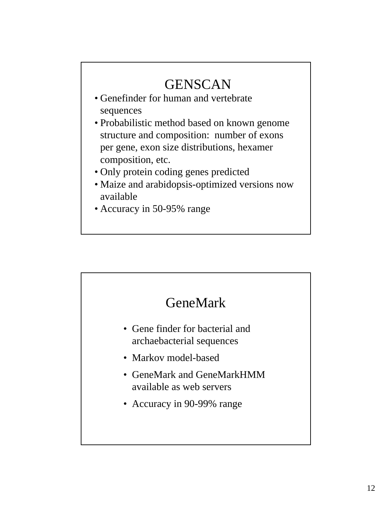## **GENSCAN**

- Genefinder for human and vertebrate sequences
- Probabilistic method based on known genome structure and composition: number of exons per gene, exon size distributions, hexamer composition, etc.
- Only protein coding genes predicted
- Maize and arabidopsis-optimized versions now available
- Accuracy in 50-95% range

#### GeneMark

- Gene finder for bacterial and archaebacterial sequences
- Markov model-based
- GeneMark and GeneMarkHMM available as web servers
- Accuracy in 90-99% range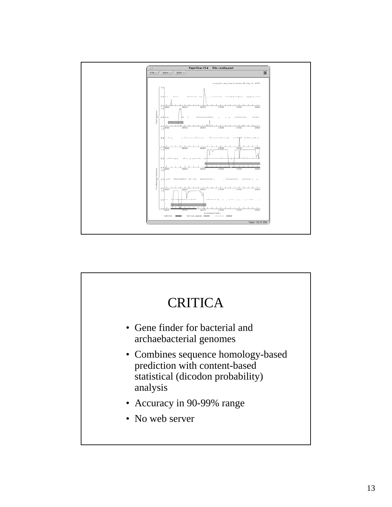

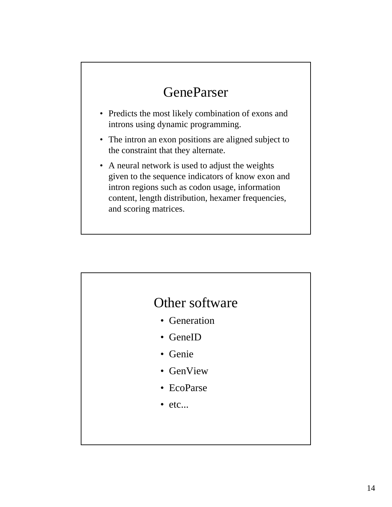### **GeneParser**

- Predicts the most likely combination of exons and introns using dynamic programming.
- The intron an exon positions are aligned subject to the constraint that they alternate.
- A neural network is used to adjust the weights given to the sequence indicators of know exon and intron regions such as codon usage, information content, length distribution, hexamer frequencies, and scoring matrices.

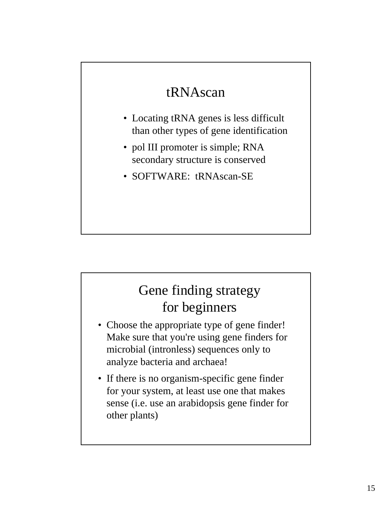#### tRNAscan

- Locating tRNA genes is less difficult than other types of gene identification
- pol III promoter is simple; RNA secondary structure is conserved
- SOFTWARE: tRNAscan-SE

### Gene finding strategy for beginners

- Choose the appropriate type of gene finder! Make sure that you're using gene finders for microbial (intronless) sequences only to analyze bacteria and archaea!
- If there is no organism-specific gene finder for your system, at least use one that makes sense (i.e. use an arabidopsis gene finder for other plants)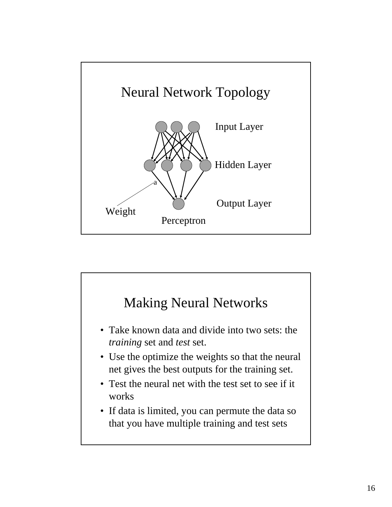

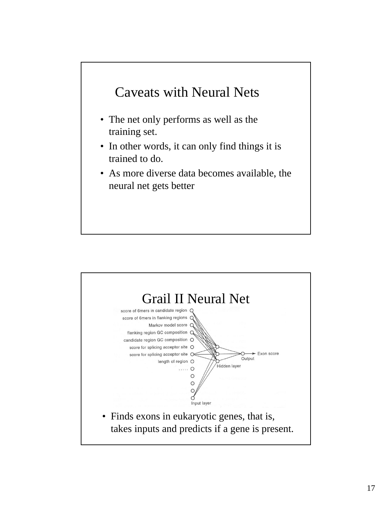#### Caveats with Neural Nets

- The net only performs as well as the training set.
- In other words, it can only find things it is trained to do.
- As more diverse data becomes available, the neural net gets better

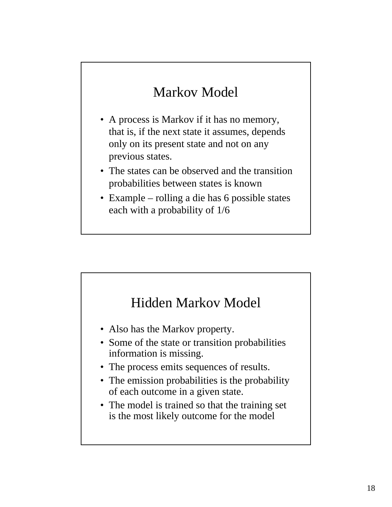## Markov Model

- A process is Markov if it has no memory, that is, if the next state it assumes, depends only on its present state and not on any previous states.
- The states can be observed and the transition probabilities between states is known
- Example rolling a die has 6 possible states each with a probability of 1/6

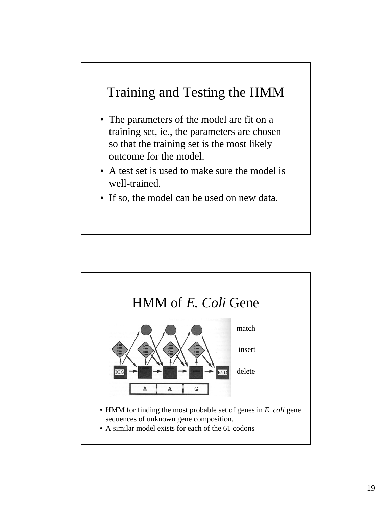#### Training and Testing the HMM

- The parameters of the model are fit on a training set, ie., the parameters are chosen so that the training set is the most likely outcome for the model.
- A test set is used to make sure the model is well-trained.
- If so, the model can be used on new data.

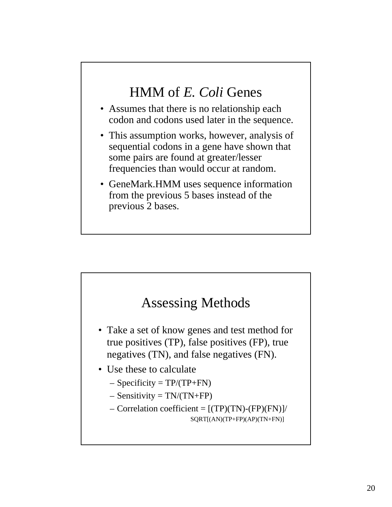#### HMM of *E. Coli* Genes

- Assumes that there is no relationship each codon and codons used later in the sequence.
- This assumption works, however, analysis of sequential codons in a gene have shown that some pairs are found at greater/lesser frequencies than would occur at random.
- GeneMark.HMM uses sequence information from the previous 5 bases instead of the previous 2 bases.